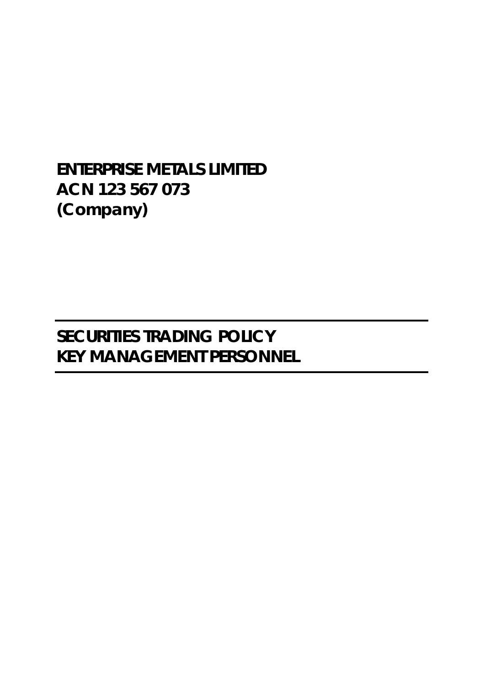**ENTERPRISE METALS LIMITED ACN 123 567 073 (Company)** 

**SECURITIES TRADING POLICY KEY MANAGEMENT PERSONNEL**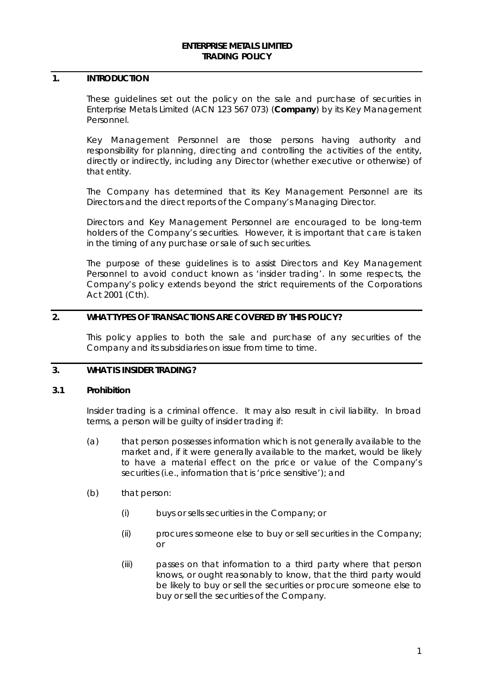#### **ENTERPRISE METALS LIMITED TRADING POLICY**

#### **1. INTRODUCTION**

These guidelines set out the policy on the sale and purchase of securities in Enterprise Metals Limited (ACN 123 567 073) (**Company**) by its Key Management Personnel.

Key Management Personnel are those persons having authority and responsibility for planning, directing and controlling the activities of the entity, directly or indirectly, including any Director (whether executive or otherwise) of that entity.

The Company has determined that its Key Management Personnel are its Directors and the direct reports of the Company's Managing Director.

Directors and Key Management Personnel are encouraged to be long-term holders of the Company's securities. However, it is important that care is taken in the timing of any purchase or sale of such securities.

The purpose of these guidelines is to assist Directors and Key Management Personnel to avoid conduct known as 'insider trading'. In some respects, the Company's policy extends beyond the strict requirements of the *Corporations Act* 2001 (Cth).

### **2. WHAT TYPES OF TRANSACTIONS ARE COVERED BY THIS POLICY?**

This policy applies to both the sale and purchase of any securities of the Company and its subsidiaries on issue from time to time.

### **3. WHAT IS INSIDER TRADING?**

#### **3.1 Prohibition**

Insider trading is a criminal offence. It may also result in civil liability. In broad terms, a person will be guilty of insider trading if:

- (a) that person possesses information which is not generally available to the market and, if it were generally available to the market, would be likely to have a material effect on the price or value of the Company's securities (i.e., information that is 'price sensitive'); and
- (b) that person:
	- (i) buys or sells securities in the Company; or
	- (ii) procures someone else to buy or sell securities in the Company; or
	- (iii) passes on that information to a third party where that person knows, or ought reasonably to know, that the third party would be likely to buy or sell the securities or procure someone else to buy or sell the securities of the Company.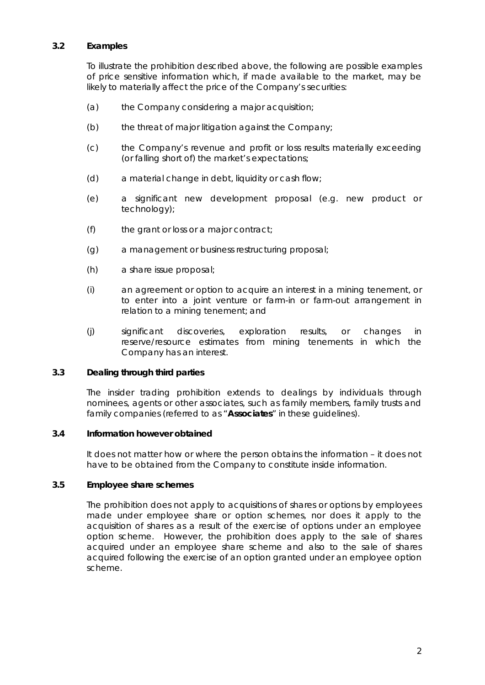### **3.2 Examples**

To illustrate the prohibition described above, the following are possible examples of price sensitive information which, if made available to the market, may be likely to materially affect the price of the Company's securities:

- (a) the Company considering a major acquisition;
- (b) the threat of major litigation against the Company;
- (c) the Company's revenue and profit or loss results materially exceeding (or falling short of) the market's expectations;
- (d) a material change in debt, liquidity or cash flow;
- (e) a significant new development proposal (e.g. new product or technology);
- (f) the grant or loss or a major contract;
- (g) a management or business restructuring proposal;
- (h) a share issue proposal;
- (i) an agreement or option to acquire an interest in a mining tenement, or to enter into a joint venture or farm-in or farm-out arrangement in relation to a mining tenement; and
- (j) significant discoveries, exploration results, or changes in reserve/resource estimates from mining tenements in which the Company has an interest.

#### **3.3 Dealing through third parties**

The insider trading prohibition extends to dealings by individuals through nominees, agents or other associates, such as family members, family trusts and family companies (referred to as "**Associates**" in these guidelines).

#### **3.4 Information however obtained**

It does not matter how or where the person obtains the information – it does not have to be obtained from the Company to constitute inside information.

### **3.5 Employee share schemes**

The prohibition does not apply to acquisitions of shares or options by employees made under employee share or option schemes, nor does it apply to the acquisition of shares as a result of the exercise of options under an employee option scheme. However, the prohibition does apply to the sale of shares acquired under an employee share scheme and also to the sale of shares acquired following the exercise of an option granted under an employee option scheme.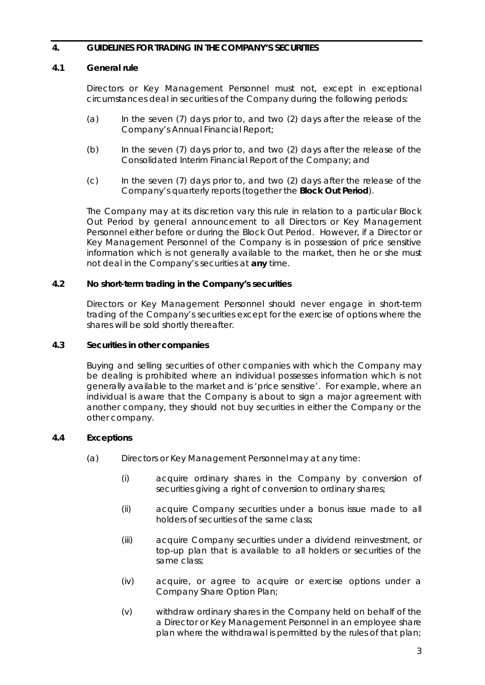### **4. GUIDELINES FOR TRADING IN THE COMPANY'S SECURITIES**

### **4.1 General rule**

Directors or Key Management Personnel must not, except in exceptional circumstances deal in securities of the Company during the following periods:

- (a) In the seven (7) days prior to, and two (2) days after the release of the Company's Annual Financial Report;
- (b) In the seven (7) days prior to, and two (2) days after the release of the Consolidated Interim Financial Report of the Company; and
- (c) In the seven (7) days prior to, and two (2) days after the release of the Company's quarterly reports (together the **Block Out Period**).

The Company may at its discretion vary this rule in relation to a particular Block Out Period by general announcement to all Directors or Key Management Personnel either before or during the Block Out Period. However, if a Director or Key Management Personnel of the Company is in possession of price sensitive information which is not generally available to the market, then he or she must not deal in the Company's securities at **any** time.

#### **4.2 No short-term trading in the Company's securities**

Directors or Key Management Personnel should never engage in short-term trading of the Company's securities except for the exercise of options where the shares will be sold shortly thereafter.

#### **4.3 Securities in other companies**

Buying and selling securities of other companies with which the Company may be dealing is prohibited where an individual possesses information which is not generally available to the market and is 'price sensitive'. For example, where an individual is aware that the Company is about to sign a major agreement with another company, they should not buy securities in either the Company or the other company.

### **4.4 Exceptions**

- (a) Directors or Key Management Personnel may at any time:
	- (i) acquire ordinary shares in the Company by conversion of securities giving a right of conversion to ordinary shares;
	- (ii) acquire Company securities under a bonus issue made to all holders of securities of the same class;
	- (iii) acquire Company securities under a dividend reinvestment, or top-up plan that is available to all holders or securities of the same class;
	- (iv) acquire, or agree to acquire or exercise options under a Company Share Option Plan;
	- (v) withdraw ordinary shares in the Company held on behalf of the a Director or Key Management Personnel in an employee share plan where the withdrawal is permitted by the rules of that plan;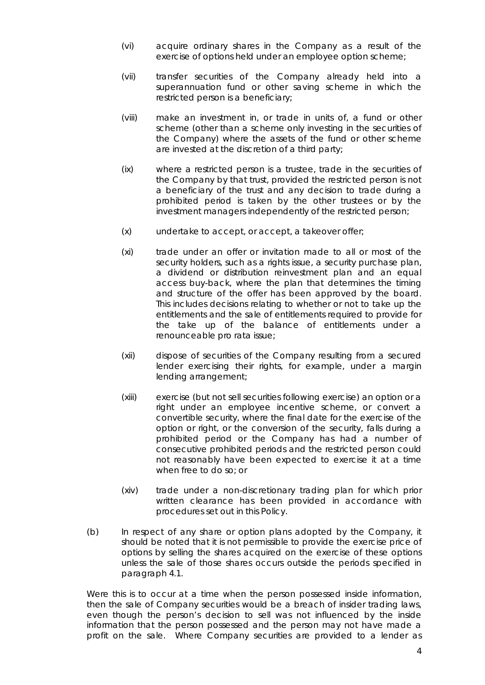- (vi) acquire ordinary shares in the Company as a result of the exercise of options held under an employee option scheme;
- (vii) transfer securities of the Company already held into a superannuation fund or other saving scheme in which the restricted person is a beneficiary;
- (viii) make an investment in, or trade in units of, a fund or other scheme (other than a scheme only investing in the securities of the Company) where the assets of the fund or other scheme are invested at the discretion of a third party;
- (ix) where a restricted person is a trustee, trade in the securities of the Company by that trust, provided the restricted person is not a beneficiary of the trust and any decision to trade during a prohibited period is taken by the other trustees or by the investment managers independently of the restricted person;
- (x) undertake to accept, or accept, a takeover offer;
- (xi) trade under an offer or invitation made to all or most of the security holders, such as a rights issue, a security purchase plan, a dividend or distribution reinvestment plan and an equal access buy-back, where the plan that determines the timing and structure of the offer has been approved by the board. This includes decisions relating to whether or not to take up the entitlements and the sale of entitlements required to provide for the take up of the balance of entitlements under a renounceable pro rata issue;
- (xii) dispose of securities of the Company resulting from a secured lender exercising their rights, for example, under a margin lending arrangement;
- (xiii) exercise (but not sell securities following exercise) an option or a right under an employee incentive scheme, or convert a convertible security, where the final date for the exercise of the option or right, or the conversion of the security, falls during a prohibited period or the Company has had a number of consecutive prohibited periods and the restricted person could not reasonably have been expected to exercise it at a time when free to do so; or
- (xiv) trade under a non-discretionary trading plan for which prior written clearance has been provided in accordance with procedures set out in this Policy.
- (b) In respect of any share or option plans adopted by the Company, it should be noted that it is not permissible to provide the exercise price of options by selling the shares acquired on the exercise of these options unless the sale of those shares occurs outside the periods specified in paragraph 4.1.

Were this is to occur at a time when the person possessed inside information, then the sale of Company securities would be a breach of insider trading laws, even though the person's decision to sell was not influenced by the inside information that the person possessed and the person may not have made a profit on the sale. Where Company securities are provided to a lender as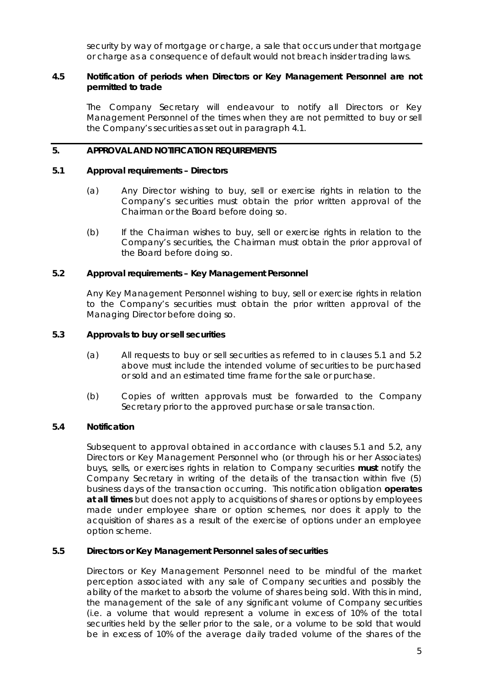security by way of mortgage or charge, a sale that occurs under that mortgage or charge as a consequence of default would not breach insider trading laws.

#### **4.5 Notification of periods when Directors or Key Management Personnel are not permitted to trade**

The Company Secretary will endeavour to notify all Directors or Key Management Personnel of the times when they are not permitted to buy or sell the Company's securities as set out in paragraph 4.1.

### **5. APPROVAL AND NOTIFICATION REQUIREMENTS**

#### **5.1 Approval requirements – Directors**

- (a) Any Director wishing to buy, sell or exercise rights in relation to the Company's securities must obtain the prior written approval of the Chairman or the Board before doing so.
- (b) If the Chairman wishes to buy, sell or exercise rights in relation to the Company's securities, the Chairman must obtain the prior approval of the Board before doing so.

### **5.2 Approval requirements – Key Management Personnel**

Any Key Management Personnel wishing to buy, sell or exercise rights in relation to the Company's securities must obtain the prior written approval of the Managing Director before doing so.

#### **5.3 Approvals to buy or sell securities**

- (a) All requests to buy or sell securities as referred to in clauses 5.1 and 5.2 above must include the intended volume of securities to be purchased or sold and an estimated time frame for the sale or purchase.
- (b) Copies of written approvals must be forwarded to the Company Secretary prior to the approved purchase or sale transaction.

### **5.4 Notification**

Subsequent to approval obtained in accordance with clauses 5.1 and 5.2, any Directors or Key Management Personnel who (or through his or her Associates) buys, sells, or exercises rights in relation to Company securities **must** notify the Company Secretary in writing of the details of the transaction within five (5) business days of the transaction occurring. This notification obligation **operates at all times** but does not apply to acquisitions of shares or options by employees made under employee share or option schemes, nor does it apply to the acquisition of shares as a result of the exercise of options under an employee option scheme.

#### **5.5 Directors or Key Management Personnel sales of securities**

Directors or Key Management Personnel need to be mindful of the market perception associated with any sale of Company securities and possibly the ability of the market to absorb the volume of shares being sold. With this in mind, the management of the sale of any significant volume of Company securities (i.e. a volume that would represent a volume in excess of 10% of the total securities held by the seller prior to the sale, or a volume to be sold that would be in excess of 10% of the average daily traded volume of the shares of the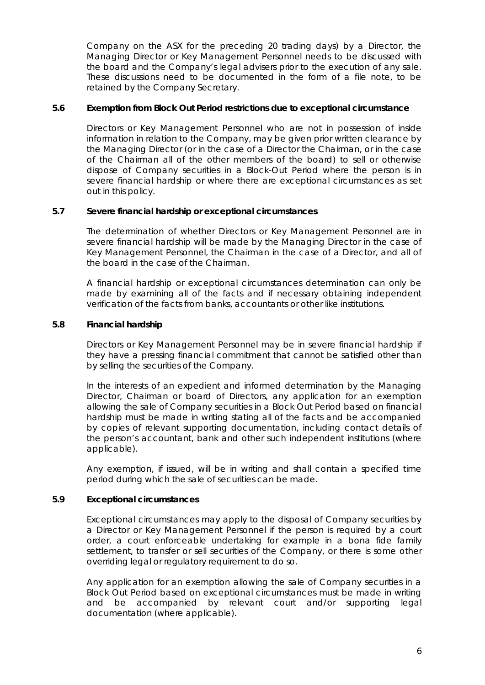Company on the ASX for the preceding 20 trading days) by a Director, the Managing Director or Key Management Personnel needs to be discussed with the board and the Company's legal advisers prior to the execution of any sale. These discussions need to be documented in the form of a file note, to be retained by the Company Secretary.

### **5.6 Exemption from Block Out Period restrictions due to exceptional circumstance**

Directors or Key Management Personnel who are not in possession of inside information in relation to the Company, may be given prior written clearance by the Managing Director (or in the case of a Director the Chairman, or in the case of the Chairman all of the other members of the board) to sell or otherwise dispose of Company securities in a Block-Out Period where the person is in severe financial hardship or where there are exceptional circumstances as set out in this policy.

### **5.7 Severe financial hardship or exceptional circumstances**

The determination of whether Directors or Key Management Personnel are in severe financial hardship will be made by the Managing Director in the case of Key Management Personnel, the Chairman in the case of a Director, and all of the board in the case of the Chairman.

A financial hardship or exceptional circumstances determination can only be made by examining all of the facts and if necessary obtaining independent verification of the facts from banks, accountants or other like institutions.

#### **5.8 Financial hardship**

Directors or Key Management Personnel may be in severe financial hardship if they have a pressing financial commitment that cannot be satisfied other than by selling the securities of the Company.

In the interests of an expedient and informed determination by the Managing Director, Chairman or board of Directors, any application for an exemption allowing the sale of Company securities in a Block Out Period based on financial hardship must be made in writing stating all of the facts and be accompanied by copies of relevant supporting documentation, including contact details of the person's accountant, bank and other such independent institutions (where applicable).

Any exemption, if issued, will be in writing and shall contain a specified time period during which the sale of securities can be made.

### **5.9 Exceptional circumstances**

Exceptional circumstances may apply to the disposal of Company securities by a Director or Key Management Personnel if the person is required by a court order, a court enforceable undertaking for example in a bona fide family settlement, to transfer or sell securities of the Company, or there is some other overriding legal or regulatory requirement to do so.

Any application for an exemption allowing the sale of Company securities in a Block Out Period based on exceptional circumstances must be made in writing and be accompanied by relevant court and/or supporting legal documentation (where applicable).